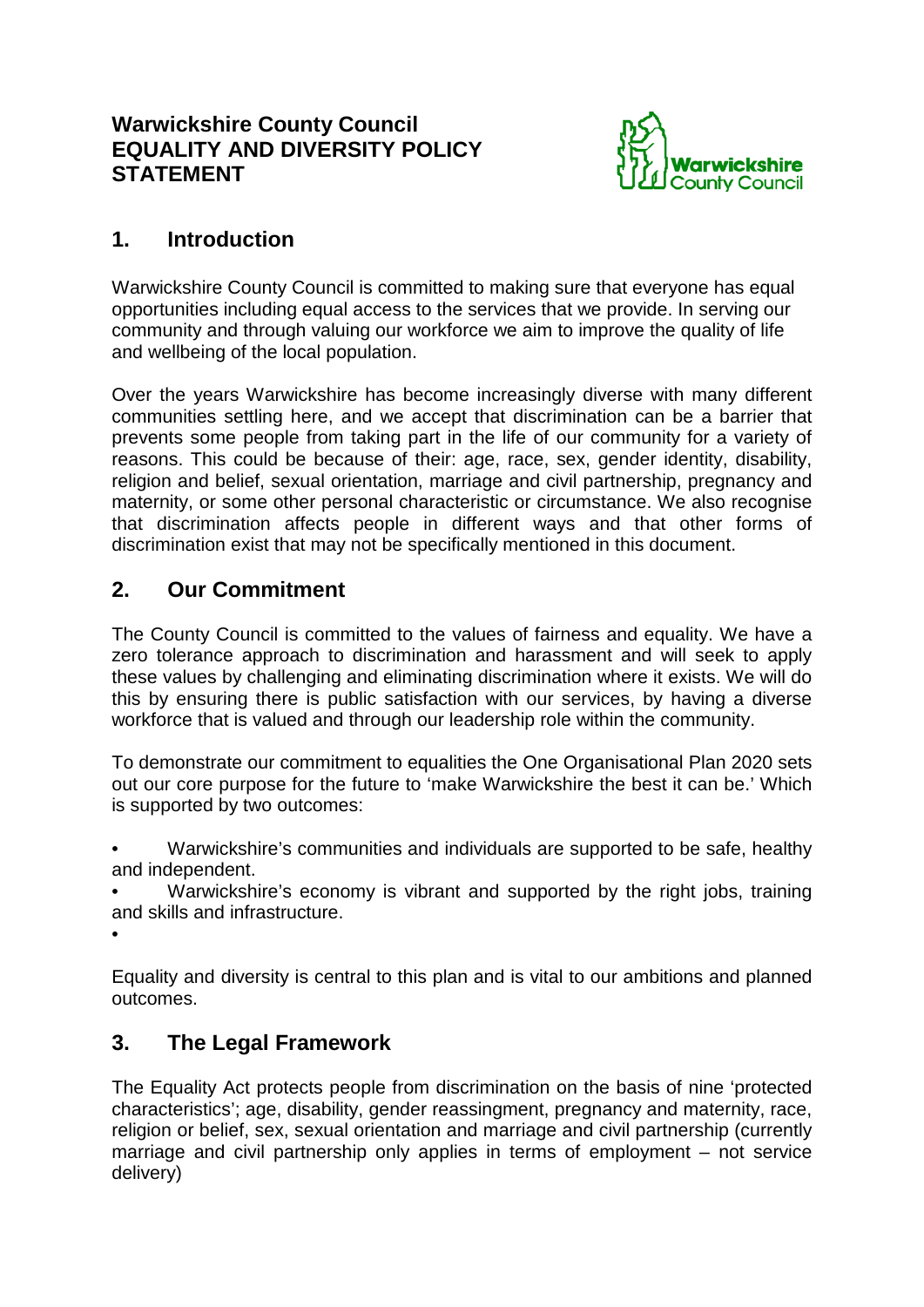### **Warwickshire County Council EQUALITY AND DIVERSITY POLICY STATEMENT**



## **1. Introduction**

Warwickshire County Council is committed to making sure that everyone has equal opportunities including equal access to the services that we provide. In serving our community and through valuing our workforce we aim to improve the quality of life and wellbeing of the local population.

Over the years Warwickshire has become increasingly diverse with many different communities settling here, and we accept that discrimination can be a barrier that prevents some people from taking part in the life of our community for a variety of reasons. This could be because of their: age, race, sex, gender identity, disability, religion and belief, sexual orientation, marriage and civil partnership, pregnancy and maternity, or some other personal characteristic or circumstance. We also recognise that discrimination affects people in different ways and that other forms of discrimination exist that may not be specifically mentioned in this document.

## **2. Our Commitment**

The County Council is committed to the values of fairness and equality. We have a zero tolerance approach to discrimination and harassment and will seek to apply these values by challenging and eliminating discrimination where it exists. We will do this by ensuring there is public satisfaction with our services, by having a diverse workforce that is valued and through our leadership role within the community.

To demonstrate our commitment to equalities the One Organisational Plan 2020 sets out our core purpose for the future to 'make Warwickshire the best it can be.' Which is supported by two outcomes:

• Warwickshire's communities and individuals are supported to be safe, healthy and independent.

Warwickshire's economy is vibrant and supported by the right jobs, training and skills and infrastructure.

•

Equality and diversity is central to this plan and is vital to our ambitions and planned outcomes.

### **3. The Legal Framework**

The Equality Act protects people from discrimination on the basis of nine 'protected characteristics'; age, disability, gender reassingment, pregnancy and maternity, race, religion or belief, sex, sexual orientation and marriage and civil partnership (currently marriage and civil partnership only applies in terms of employment – not service delivery)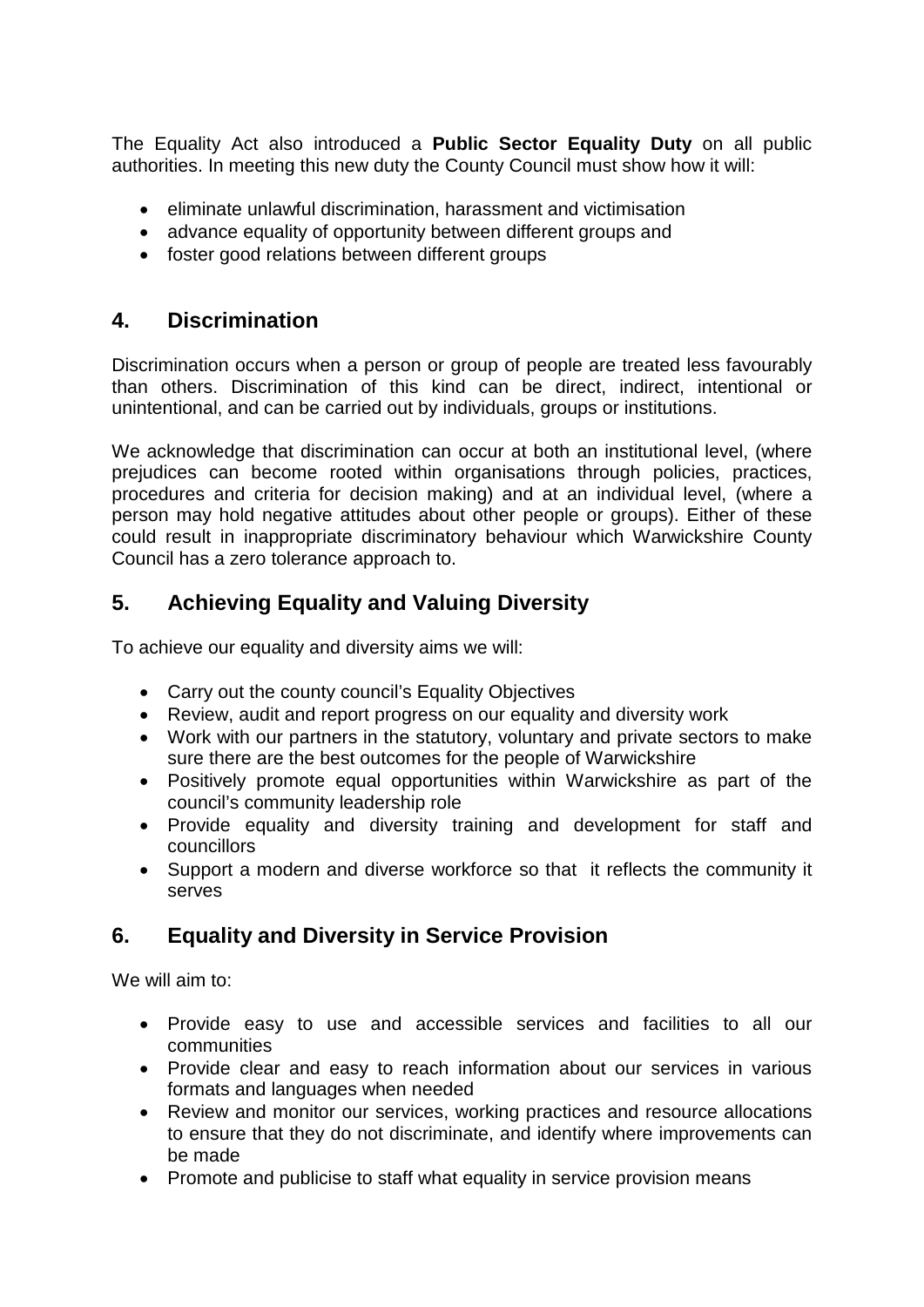The Equality Act also introduced a **Public Sector Equality Duty** on all public authorities. In meeting this new duty the County Council must show how it will:

- eliminate unlawful discrimination, harassment and victimisation
- advance equality of opportunity between different groups and
- foster good relations between different groups

#### **4. Discrimination**

Discrimination occurs when a person or group of people are treated less favourably than others. Discrimination of this kind can be direct, indirect, intentional or unintentional, and can be carried out by individuals, groups or institutions.

We acknowledge that discrimination can occur at both an institutional level, (where prejudices can become rooted within organisations through policies, practices, procedures and criteria for decision making) and at an individual level, (where a person may hold negative attitudes about other people or groups). Either of these could result in inappropriate discriminatory behaviour which Warwickshire County Council has a zero tolerance approach to.

## **5. Achieving Equality and Valuing Diversity**

To achieve our equality and diversity aims we will:

- Carry out the county council's Equality Objectives
- Review, audit and report progress on our equality and diversity work
- Work with our partners in the statutory, voluntary and private sectors to make sure there are the best outcomes for the people of Warwickshire
- Positively promote equal opportunities within Warwickshire as part of the council's community leadership role
- Provide equality and diversity training and development for staff and councillors
- Support a modern and diverse workforce so that it reflects the community it serves

# **6. Equality and Diversity in Service Provision**

We will aim to:

- Provide easy to use and accessible services and facilities to all our communities
- Provide clear and easy to reach information about our services in various formats and languages when needed
- Review and monitor our services, working practices and resource allocations to ensure that they do not discriminate, and identify where improvements can be made
- Promote and publicise to staff what equality in service provision means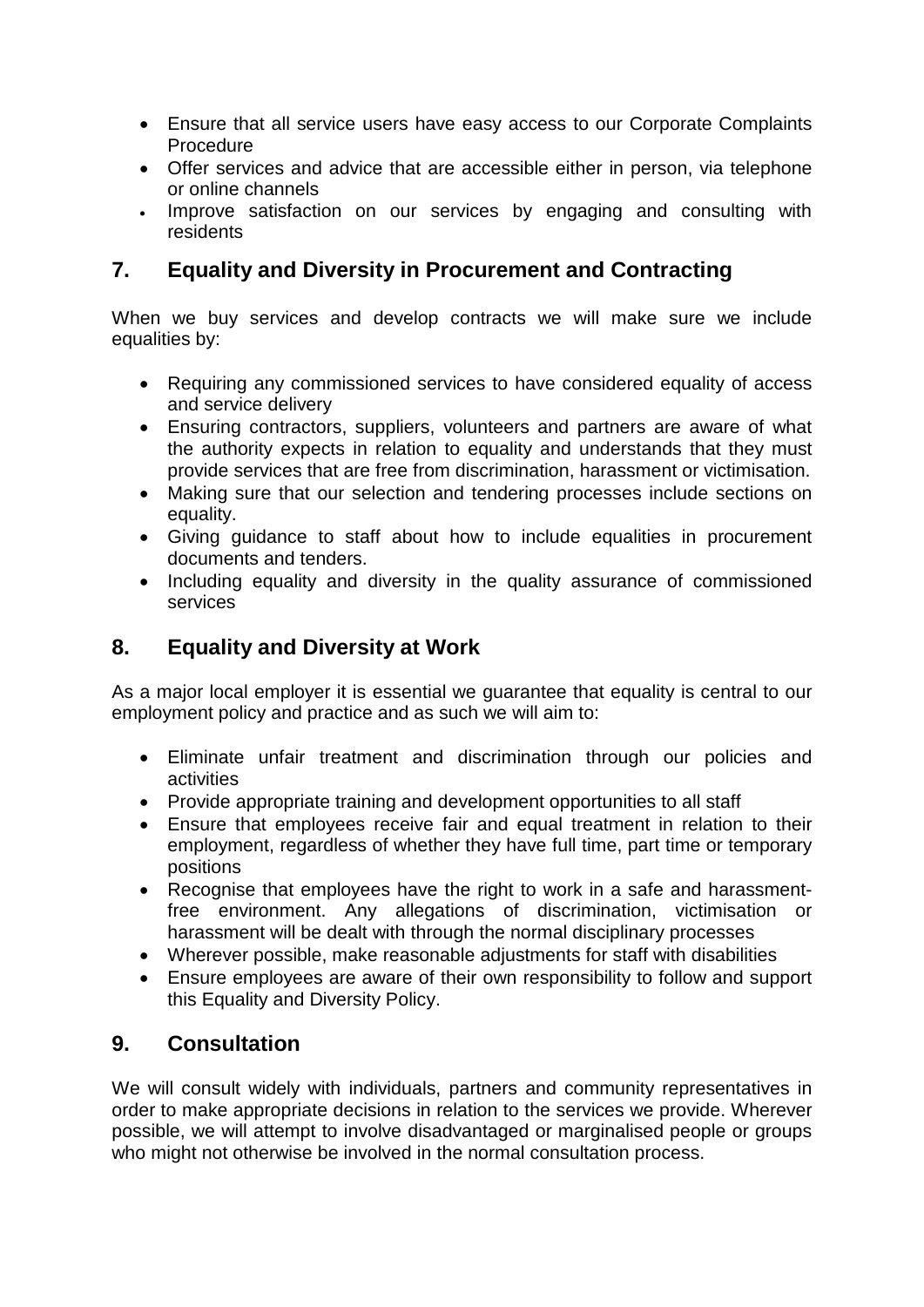- Ensure that all service users have easy access to our Corporate Complaints **Procedure**
- Offer services and advice that are accessible either in person, via telephone or online channels
- Improve satisfaction on our services by engaging and consulting with residents

# **7. Equality and Diversity in Procurement and Contracting**

When we buy services and develop contracts we will make sure we include equalities by:

- Requiring any commissioned services to have considered equality of access and service delivery
- Ensuring contractors, suppliers, volunteers and partners are aware of what the authority expects in relation to equality and understands that they must provide services that are free from discrimination, harassment or victimisation.
- Making sure that our selection and tendering processes include sections on equality.
- Giving guidance to staff about how to include equalities in procurement documents and tenders.
- Including equality and diversity in the quality assurance of commissioned services

### **8. Equality and Diversity at Work**

As a major local employer it is essential we guarantee that equality is central to our employment policy and practice and as such we will aim to:

- Eliminate unfair treatment and discrimination through our policies and activities
- Provide appropriate training and development opportunities to all staff
- Ensure that employees receive fair and equal treatment in relation to their employment, regardless of whether they have full time, part time or temporary positions
- Recognise that employees have the right to work in a safe and harassmentfree environment. Any allegations of discrimination, victimisation or harassment will be dealt with through the normal disciplinary processes
- Wherever possible, make reasonable adjustments for staff with disabilities
- Ensure employees are aware of their own responsibility to follow and support this Equality and Diversity Policy.

### **9. Consultation**

We will consult widely with individuals, partners and community representatives in order to make appropriate decisions in relation to the services we provide. Wherever possible, we will attempt to involve disadvantaged or marginalised people or groups who might not otherwise be involved in the normal consultation process.